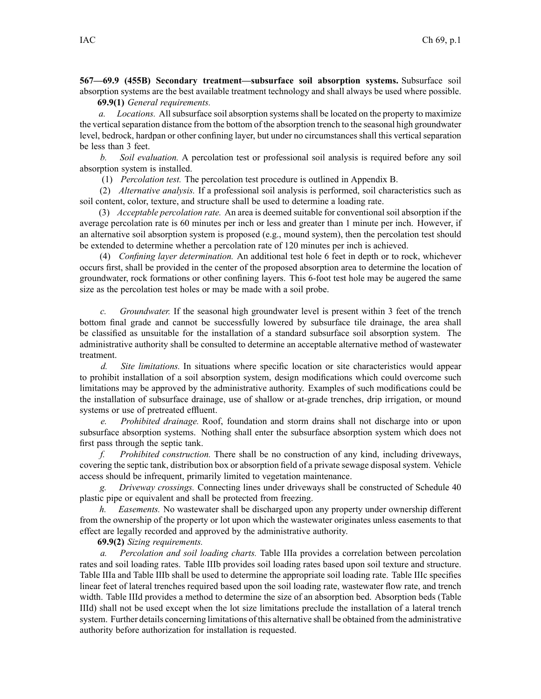**567—69.9 (455B) Secondary treatment—subsurface soil absorption systems.** Subsurface soil absorption systems are the best available treatment technology and shall always be used where possible. **69.9(1)** *General requirements.*

*a. Locations.* Allsubsurface soil absorption systemsshall be located on the property to maximize the vertical separation distance from the bottom of the absorption trench to the seasonal high groundwater level, bedrock, hardpan or other confining layer, but under no circumstances shall this vertical separation be less than 3 feet.

*b. Soil evaluation.* A percolation test or professional soil analysis is required before any soil absorption system is installed.

(1) *Percolation test.* The percolation test procedure is outlined in Appendix B.

(2) *Alternative analysis.* If <sup>a</sup> professional soil analysis is performed, soil characteristics such as soil content, color, texture, and structure shall be used to determine <sup>a</sup> loading rate.

(3) *Acceptable percolation rate.* An area is deemed suitable for conventional soil absorption if the average percolation rate is 60 minutes per inch or less and greater than 1 minute per inch. However, if an alternative soil absorption system is proposed (e.g., mound system), then the percolation test should be extended to determine whether <sup>a</sup> percolation rate of 120 minutes per inch is achieved.

(4) *Confining layer determination.* An additional test hole 6 feet in depth or to rock, whichever occurs first, shall be provided in the center of the proposed absorption area to determine the location of groundwater, rock formations or other confining layers. This 6-foot test hole may be augered the same size as the percolation test holes or may be made with <sup>a</sup> soil probe.

*c. Groundwater.* If the seasonal high groundwater level is presen<sup>t</sup> within 3 feet of the trench bottom final grade and cannot be successfully lowered by subsurface tile drainage, the area shall be classified as unsuitable for the installation of <sup>a</sup> standard subsurface soil absorption system. The administrative authority shall be consulted to determine an acceptable alternative method of wastewater treatment.

*d. Site limitations.* In situations where specific location or site characteristics would appear to prohibit installation of <sup>a</sup> soil absorption system, design modifications which could overcome such limitations may be approved by the administrative authority. Examples of such modifications could be the installation of subsurface drainage, use of shallow or at-grade trenches, drip irrigation, or mound systems or use of pretreated effluent.

*e. Prohibited drainage.* Roof, foundation and storm drains shall not discharge into or upon subsurface absorption systems. Nothing shall enter the subsurface absorption system which does not first pass through the septic tank.

*f. Prohibited construction.* There shall be no construction of any kind, including driveways, covering the septic tank, distribution box or absorption field of a private sewage disposal system. Vehicle access should be infrequent, primarily limited to vegetation maintenance.

*g. Driveway crossings.* Connecting lines under driveways shall be constructed of Schedule 40 plastic pipe or equivalent and shall be protected from freezing.

*h. Easements.* No wastewater shall be discharged upon any property under ownership different from the ownership of the property or lot upon which the wastewater originates unless easements to that effect are legally recorded and approved by the administrative authority.

#### **69.9(2)** *Sizing requirements.*

*a. Percolation and soil loading charts.* Table IIIa provides <sup>a</sup> correlation between percolation rates and soil loading rates. Table IIIb provides soil loading rates based upon soil texture and structure. Table IIIa and Table IIIb shall be used to determine the appropriate soil loading rate. Table IIIc specifies linear feet of lateral trenches required based upon the soil loading rate, wastewater flow rate, and trench width. Table IIId provides <sup>a</sup> method to determine the size of an absorption bed. Absorption beds (Table IIId) shall not be used excep<sup>t</sup> when the lot size limitations preclude the installation of <sup>a</sup> lateral trench system. Further details concerning limitations of this alternative shall be obtained from the administrative authority before authorization for installation is requested.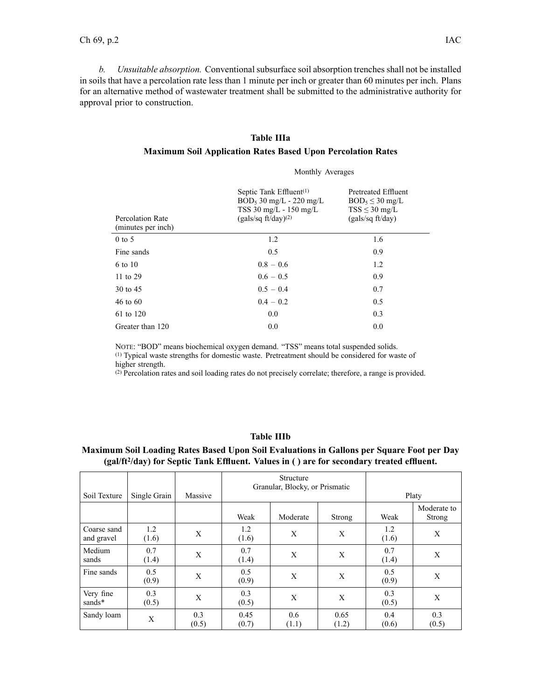*b. Unsuitable absorption.* Conventional subsurface soil absorption trenches shall not be installed in soils that have <sup>a</sup> percolation rate less than 1 minute per inch or greater than 60 minutes per inch. Plans for an alternative method of wastewater treatment shall be submitted to the administrative authority for approval prior to construction.

# **Table IIIa**

### **Maximum Soil Application Rates Based Upon Percolation Rates**

Monthly Averages

| Percolation Rate<br>(minutes per inch) | Septic Tank $Effluent^{(1)}$<br>$BOD_5$ 30 mg/L - 220 mg/L<br>$TSS$ 30 mg/L - 150 mg/L<br>$(gals/sq ft/day)^{(2)}$ | Pretreated Effluent<br>$BOD_5 \leq 30$ mg/L<br>$TSS \leq 30$ mg/L<br>(gals/sq ft/day) |
|----------------------------------------|--------------------------------------------------------------------------------------------------------------------|---------------------------------------------------------------------------------------|
| $0$ to 5                               | 1.2                                                                                                                | 1.6                                                                                   |
| Fine sands                             | 0.5                                                                                                                | 0.9                                                                                   |
| 6 to 10                                | $0.8 - 0.6$                                                                                                        | 1.2                                                                                   |
| 11 to 29                               | $0.6 - 0.5$                                                                                                        | 0.9                                                                                   |
| 30 to 45                               | $0.5 - 0.4$                                                                                                        | 0.7                                                                                   |
| 46 to $60$                             | $0.4 - 0.2$                                                                                                        | 0.5                                                                                   |
| 61 to 120                              | 0.0                                                                                                                | 0.3                                                                                   |
| Greater than 120                       | 0.0                                                                                                                | 0.0                                                                                   |

NOTE: "BOD" means biochemical oxygen demand. "TSS" means total suspended solids. (1) Typical waste strengths for domestic waste. Pretreatment should be considered for waste of higher strength.

(2) Percolation rates and soil loading rates do not precisely correlate; therefore, <sup>a</sup> range is provided.

## **Table IIIb**

# **Maximum Soil Loading Rates Based Upon Soil Evaluations in Gallons per Square Foot per Day (gal/ft<sup>2</sup> /day) for Septic Tank Effluent. Values in ( ) are for secondary treated effluent.**

| Soil Texture              | Single Grain | Massive      |               | Structure<br>Granular, Blocky, or Prismatic | Platy         |              |                       |
|---------------------------|--------------|--------------|---------------|---------------------------------------------|---------------|--------------|-----------------------|
|                           |              |              | Weak          | Moderate                                    | Strong        | Weak         | Moderate to<br>Strong |
| Coarse sand<br>and gravel | 1.2<br>(1.6) | X            | 1.2<br>(1.6)  | X                                           | X             | 1.2<br>(1.6) | X                     |
| Medium<br>sands           | 0.7<br>(1.4) | X            | 0.7<br>(1.4)  | X                                           | X             | 0.7<br>(1.4) | X                     |
| Fine sands                | 0.5<br>(0.9) | X            | 0.5<br>(0.9)  | X                                           | X             | 0.5<br>(0.9) | X                     |
| Very fine<br>sands*       | 0.3<br>(0.5) | X            | 0.3<br>(0.5)  | X                                           | X             | 0.3<br>(0.5) | X                     |
| Sandy loam                | X            | 0.3<br>(0.5) | 0.45<br>(0.7) | 0.6<br>(1.1)                                | 0.65<br>(1.2) | 0.4<br>(0.6) | 0.3<br>(0.5)          |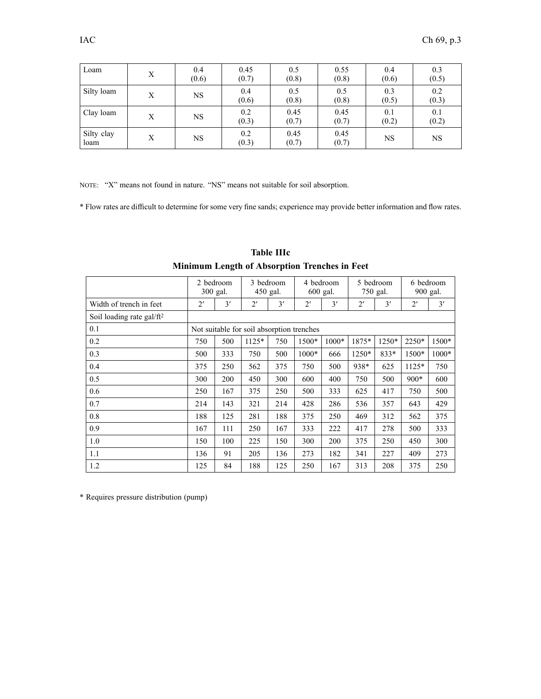| Loam               | Х | 0.4<br>(0.6) | 0.45<br>(0.7) | 0.5<br>(0.8)  | 0.55<br>(0.8) | 0.4<br>(0.6) | 0.3<br>(0.5) |
|--------------------|---|--------------|---------------|---------------|---------------|--------------|--------------|
| Silty loam         | Х | <b>NS</b>    | 0.4<br>(0.6)  | 0.5<br>(0.8)  | 0.5<br>(0.8)  | 0.3<br>(0.5) | 0.2<br>(0.3) |
| Clay loam          | Х | <b>NS</b>    | 0.2<br>(0.3)  | 0.45<br>(0.7) | 0.45<br>(0.7) | 0.1<br>(0.2) | 0.1<br>(0.2) |
| Silty clay<br>loam | Х | NS.          | 0.2<br>(0.3)  | 0.45<br>(0.7) | 0.45<br>(0.7) | <b>NS</b>    | NS           |

<sup>N</sup>OTE: "X" means not found in nature. "NS" means not suitable for soil absorption.

\* Flow rates are difficult to determine for some very fine sands; experience may provide better information and flow rates.

|                                       |              | 2 bedroom<br>300 gal. | 3 bedroom<br>450 gal.                     |     |              | 4 bedroom<br>600 gal. |              | 5 bedroom<br>750 gal. |              | 6 bedroom<br>900 gal. |
|---------------------------------------|--------------|-----------------------|-------------------------------------------|-----|--------------|-----------------------|--------------|-----------------------|--------------|-----------------------|
| Width of trench in feet               | $2^{\prime}$ | 3'                    | $2^{\prime}$                              | 3'  | $2^{\prime}$ | 3'                    | $2^{\prime}$ | 3'                    | $2^{\prime}$ | 3'                    |
| Soil loading rate gal/ft <sup>2</sup> |              |                       |                                           |     |              |                       |              |                       |              |                       |
| 0.1                                   |              |                       | Not suitable for soil absorption trenches |     |              |                       |              |                       |              |                       |
| 0.2                                   | 750          | 500                   | $1125*$                                   | 750 | 1500*        | $1000*$               | 1875*        | 1250*                 | 2250*        | 1500*                 |
| 0.3                                   | 500          | 333                   | 750                                       | 500 | $1000*$      | 666                   | 1250*        | 833*                  | 1500*        | 1000*                 |
| 0.4                                   | 375          | 250                   | 562                                       | 375 | 750          | 500                   | 938*         | 625                   | $1125*$      | 750                   |
| 0.5                                   | 300          | 200                   | 450                                       | 300 | 600          | 400                   | 750          | 500                   | $900*$       | 600                   |
| 0.6                                   | 250          | 167                   | 375                                       | 250 | 500          | 333                   | 625          | 417                   | 750          | 500                   |
| 0.7                                   | 214          | 143                   | 321                                       | 214 | 428          | 286                   | 536          | 357                   | 643          | 429                   |
| 0.8                                   | 188          | 125                   | 281                                       | 188 | 375          | 250                   | 469          | 312                   | 562          | 375                   |
| 0.9                                   | 167          | 111                   | 250                                       | 167 | 333          | 222                   | 417          | 278                   | 500          | 333                   |
| 1.0                                   | 150          | 100                   | 225                                       | 150 | 300          | 200                   | 375          | 250                   | 450          | 300                   |
| 1.1                                   | 136          | 91                    | 205                                       | 136 | 273          | 182                   | 341          | 227                   | 409          | 273                   |
| 1.2                                   | 125          | 84                    | 188                                       | 125 | 250          | 167                   | 313          | 208                   | 375          | 250                   |

**Table IIIc Minimum Length of Absorption Trenches in Feet**

\* Requires pressure distribution (pump)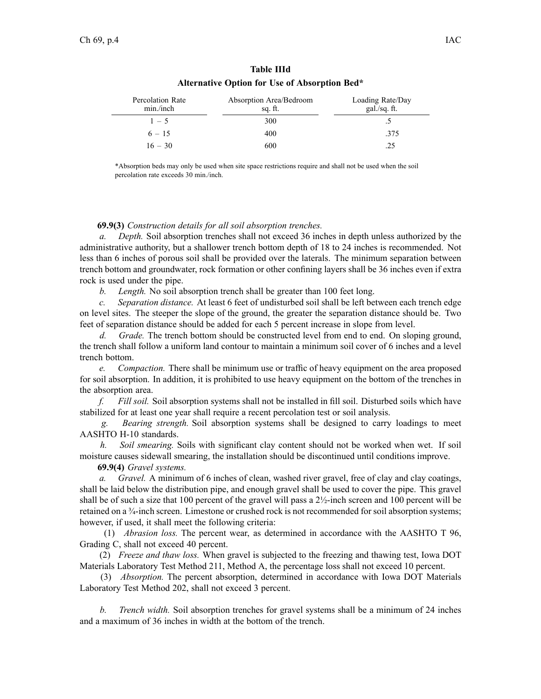| <b>Percolation Rate</b><br>min./inch | Absorption Area/Bedroom<br>sq. ft. | Loading Rate/Day<br>gal./sq. ft. |  |  |  |
|--------------------------------------|------------------------------------|----------------------------------|--|--|--|
| $1 - 5$                              | 300                                |                                  |  |  |  |
| $6 - 15$                             | 400                                | .375                             |  |  |  |
| $16 - 30$                            | 600                                |                                  |  |  |  |

| <b>Table IIId</b>                             |  |  |  |  |  |  |  |
|-----------------------------------------------|--|--|--|--|--|--|--|
| Alternative Option for Use of Absorption Bed* |  |  |  |  |  |  |  |

\*Absorption beds may only be used when site space restrictions require and shall not be used when the soil percolation rate exceeds 30 min./inch.

#### **69.9(3)** *Construction details for all soil absorption trenches.*

*a. Depth.* Soil absorption trenches shall not exceed 36 inches in depth unless authorized by the administrative authority, but <sup>a</sup> shallower trench bottom depth of 18 to 24 inches is recommended. Not less than 6 inches of porous soil shall be provided over the laterals. The minimum separation between trench bottom and groundwater, rock formation or other confining layers shall be 36 inches even if extra rock is used under the pipe.

*b. Length.* No soil absorption trench shall be greater than 100 feet long.

*c. Separation distance.* At least 6 feet of undisturbed soil shall be left between each trench edge on level sites. The steeper the slope of the ground, the greater the separation distance should be. Two feet of separation distance should be added for each 5 percen<sup>t</sup> increase in slope from level.

*d. Grade.* The trench bottom should be constructed level from end to end. On sloping ground, the trench shall follow <sup>a</sup> uniform land contour to maintain <sup>a</sup> minimum soil cover of 6 inches and <sup>a</sup> level trench bottom.

*e. Compaction.* There shall be minimum use or traffic of heavy equipment on the area proposed for soil absorption. In addition, it is prohibited to use heavy equipment on the bottom of the trenches in the absorption area.

*f. Fill soil.* Soil absorption systems shall not be installed in fill soil. Disturbed soils which have stabilized for at least one year shall require <sup>a</sup> recent percolation test or soil analysis.

*g. Bearing strength.* Soil absorption systems shall be designed to carry loadings to meet AASHTO H-10 standards.

*h. Soil smearing.* Soils with significant clay content should not be worked when wet. If soil moisture causes sidewall smearing, the installation should be discontinued until conditions improve.

**69.9(4)** *Gravel systems.*

*a. Gravel.* A minimum of 6 inches of clean, washed river gravel, free of clay and clay coatings, shall be laid below the distribution pipe, and enough gravel shall be used to cover the pipe. This gravel shall be of such a size that 100 percent of the gravel will pass a  $2\frac{1}{2}$ -inch screen and 100 percent will be retained on <sup>a</sup> ¾-inch screen. Limestone or crushed rock is not recommended for soil absorption systems; however, if used, it shall meet the following criteria:

(1) *Abrasion loss.* The percen<sup>t</sup> wear, as determined in accordance with the AASHTO T 96, Grading C, shall not exceed 40 percent.

(2) *Freeze and thaw loss.* When gravel is subjected to the freezing and thawing test, Iowa DOT Materials Laboratory Test Method 211, Method A, the percentage loss shall not exceed 10 percent.

(3) *Absorption.* The percen<sup>t</sup> absorption, determined in accordance with Iowa DOT Materials Laboratory Test Method 202, shall not exceed 3 percent.

*b. Trench width.* Soil absorption trenches for gravel systems shall be <sup>a</sup> minimum of 24 inches and <sup>a</sup> maximum of 36 inches in width at the bottom of the trench.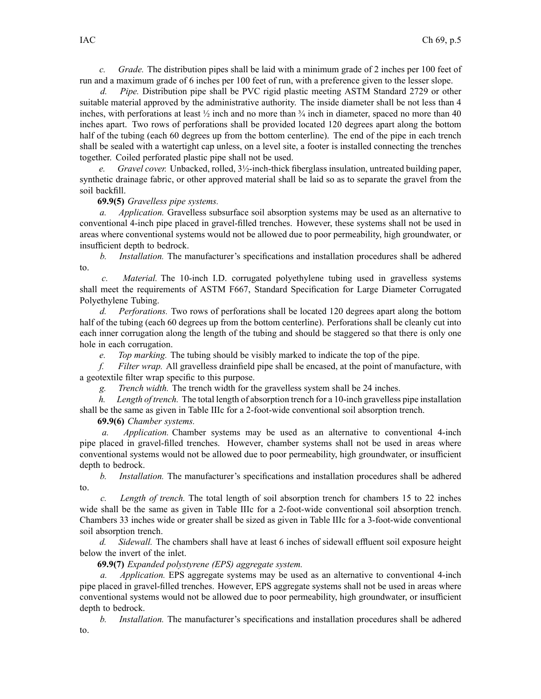*c. Grade.* The distribution pipes shall be laid with <sup>a</sup> minimum grade of 2 inches per 100 feet of run and <sup>a</sup> maximum grade of 6 inches per 100 feet of run, with <sup>a</sup> preference given to the lesser slope.

*Pipe.* Distribution pipe shall be PVC rigid plastic meeting ASTM Standard 2729 or other suitable material approved by the administrative authority. The inside diameter shall be not less than 4 inches, with perforations at least  $\frac{1}{2}$  inch and no more than  $\frac{3}{4}$  inch in diameter, spaced no more than 40 inches apart. Two rows of perforations shall be provided located 120 degrees apar<sup>t</sup> along the bottom half of the tubing (each 60 degrees up from the bottom centerline). The end of the pipe in each trench shall be sealed with <sup>a</sup> watertight cap unless, on <sup>a</sup> level site, <sup>a</sup> footer is installed connecting the trenches together. Coiled perforated plastic pipe shall not be used.

*e. Gravel cover.* Unbacked, rolled, 3½-inch-thick fiberglass insulation, untreated building paper, synthetic drainage fabric, or other approved material shall be laid so as to separate the gravel from the soil backfill.

#### **69.9(5)** *Gravelless pipe systems.*

*a. Application.* Gravelless subsurface soil absorption systems may be used as an alternative to conventional 4-inch pipe placed in gravel-filled trenches. However, these systems shall not be used in areas where conventional systems would not be allowed due to poor permeability, high groundwater, or insufficient depth to bedrock.

*b. Installation.* The manufacturer's specifications and installation procedures shall be adhered to.

*c. Material.* The 10-inch I.D. corrugated polyethylene tubing used in gravelless systems shall meet the requirements of ASTM F667, Standard Specification for Large Diameter Corrugated Polyethylene Tubing.

*d. Perforations.* Two rows of perforations shall be located 120 degrees apar<sup>t</sup> along the bottom half of the tubing (each 60 degrees up from the bottom centerline). Perforations shall be cleanly cut into each inner corrugation along the length of the tubing and should be staggered so that there is only one hole in each corrugation.

*e. Top marking.* The tubing should be visibly marked to indicate the top of the pipe.

*f. Filter wrap.* All gravelless drainfield pipe shall be encased, at the point of manufacture, with <sup>a</sup> geotextile filter wrap specific to this purpose.

*g. Trench width.* The trench width for the gravelless system shall be 24 inches.

*h. Length of trench.* The total length of absorption trench for <sup>a</sup> 10-inch gravelless pipe installation shall be the same as given in Table IIIc for <sup>a</sup> 2-foot-wide conventional soil absorption trench.

**69.9(6)** *Chamber systems.*

*a. Application.* Chamber systems may be used as an alternative to conventional 4-inch pipe placed in gravel-filled trenches. However, chamber systems shall not be used in areas where conventional systems would not be allowed due to poor permeability, high groundwater, or insufficient depth to bedrock.

*b. Installation.* The manufacturer's specifications and installation procedures shall be adhered to.

*c. Length of trench.* The total length of soil absorption trench for chambers 15 to 22 inches wide shall be the same as given in Table IIIc for <sup>a</sup> 2-foot-wide conventional soil absorption trench. Chambers 33 inches wide or greater shall be sized as given in Table IIIc for <sup>a</sup> 3-foot-wide conventional soil absorption trench.

*d. Sidewall.* The chambers shall have at least 6 inches of sidewall effluent soil exposure height below the invert of the inlet.

**69.9(7)** *Expanded polystyrene (EPS) aggregate system.*

*Application.* EPS aggregate systems may be used as an alternative to conventional 4-inch pipe placed in gravel-filled trenches. However, EPS aggregate systems shall not be used in areas where conventional systems would not be allowed due to poor permeability, high groundwater, or insufficient depth to bedrock.

*b. Installation.* The manufacturer's specifications and installation procedures shall be adhered to.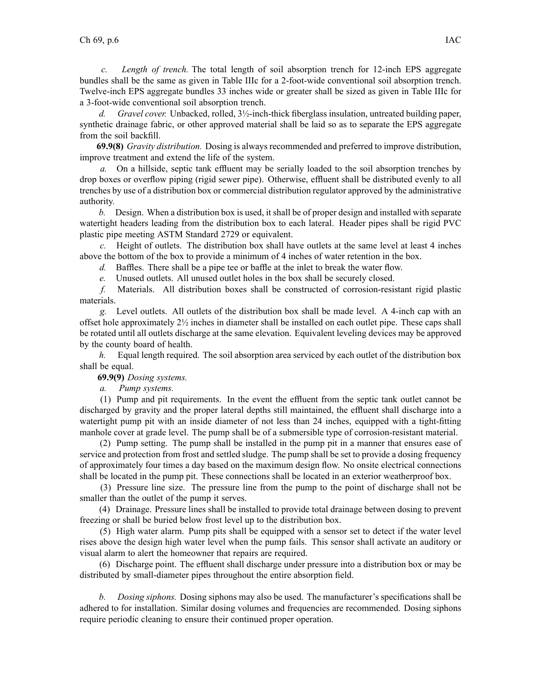*c. Length of trench.* The total length of soil absorption trench for 12-inch EPS aggregate bundles shall be the same as given in Table IIIc for <sup>a</sup> 2-foot-wide conventional soil absorption trench. Twelve-inch EPS aggregate bundles 33 inches wide or greater shall be sized as given in Table IIIc for <sup>a</sup> 3-foot-wide conventional soil absorption trench.

*d. Gravel cover.* Unbacked, rolled, 3½-inch-thick fiberglass insulation, untreated building paper, synthetic drainage fabric, or other approved material shall be laid so as to separate the EPS aggregate from the soil backfill.

**69.9(8)** *Gravity distribution.* Dosing is always recommended and preferred to improve distribution, improve treatment and extend the life of the system.

*a.* On <sup>a</sup> hillside, septic tank effluent may be serially loaded to the soil absorption trenches by drop boxes or overflow piping (rigid sewer pipe). Otherwise, effluent shall be distributed evenly to all trenches by use of <sup>a</sup> distribution box or commercial distribution regulator approved by the administrative authority.

*b.* Design. When <sup>a</sup> distribution box is used, it shall be of proper design and installed with separate watertight headers leading from the distribution box to each lateral. Header pipes shall be rigid PVC plastic pipe meeting ASTM Standard 2729 or equivalent.

*c.* Height of outlets. The distribution box shall have outlets at the same level at least 4 inches above the bottom of the box to provide <sup>a</sup> minimum of 4 inches of water retention in the box.

*d.* Baffles. There shall be <sup>a</sup> pipe tee or baffle at the inlet to break the water flow.

*e.* Unused outlets. All unused outlet holes in the box shall be securely closed.

*f.* Materials. All distribution boxes shall be constructed of corrosion-resistant rigid plastic materials.

*g.* Level outlets. All outlets of the distribution box shall be made level. A 4-inch cap with an offset hole approximately 2½ inches in diameter shall be installed on each outlet pipe. These caps shall be rotated until all outlets discharge at the same elevation. Equivalent leveling devices may be approved by the county board of health.

*h.* Equal length required. The soil absorption area serviced by each outlet of the distribution box shall be equal.

**69.9(9)** *Dosing systems.*

*a. Pump systems.*

(1) Pump and pit requirements. In the event the effluent from the septic tank outlet cannot be discharged by gravity and the proper lateral depths still maintained, the effluent shall discharge into <sup>a</sup> watertight pump pit with an inside diameter of not less than 24 inches, equipped with <sup>a</sup> tight-fitting manhole cover at grade level. The pump shall be of <sup>a</sup> submersible type of corrosion-resistant material.

(2) Pump setting. The pump shall be installed in the pump pit in <sup>a</sup> manner that ensures ease of service and protection from frost and settled sludge. The pump shall be set to provide <sup>a</sup> dosing frequency of approximately four times <sup>a</sup> day based on the maximum design flow. No onsite electrical connections shall be located in the pump pit. These connections shall be located in an exterior weatherproof box.

(3) Pressure line size. The pressure line from the pump to the point of discharge shall not be smaller than the outlet of the pump it serves.

(4) Drainage. Pressure lines shall be installed to provide total drainage between dosing to preven<sup>t</sup> freezing or shall be buried below frost level up to the distribution box.

(5) High water alarm. Pump pits shall be equipped with <sup>a</sup> sensor set to detect if the water level rises above the design high water level when the pump fails. This sensor shall activate an auditory or visual alarm to alert the homeowner that repairs are required.

(6) Discharge point. The effluent shall discharge under pressure into <sup>a</sup> distribution box or may be distributed by small-diameter pipes throughout the entire absorption field.

*b. Dosing siphons.* Dosing siphons may also be used. The manufacturer's specifications shall be adhered to for installation. Similar dosing volumes and frequencies are recommended. Dosing siphons require periodic cleaning to ensure their continued proper operation.